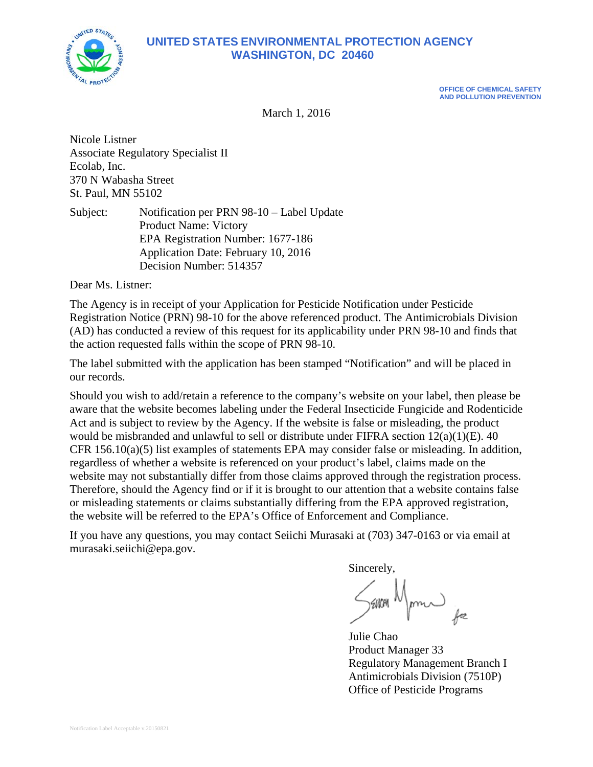

## **UNITED STATES ENVIRONMENTAL PROTECTION AGENCY WASHINGTON, DC 20460**

**OFFICE OF CHEMICAL SAFETY AND POLLUTION PREVENTION** 

March 1, 2016

Nicole Listner Associate Regulatory Specialist II Ecolab, Inc. 370 N Wabasha Street St. Paul, MN 55102

Subject: Notification per PRN 98-10 – Label Update Product Name: Victory EPA Registration Number: 1677-186 Application Date: February 10, 2016 Decision Number: 514357

Dear Ms. Listner:

The Agency is in receipt of your Application for Pesticide Notification under Pesticide Registration Notice (PRN) 98-10 for the above referenced product. The Antimicrobials Division (AD) has conducted a review of this request for its applicability under PRN 98-10 and finds that the action requested falls within the scope of PRN 98-10.

The label submitted with the application has been stamped "Notification" and will be placed in our records.

Should you wish to add/retain a reference to the company's website on your label, then please be aware that the website becomes labeling under the Federal Insecticide Fungicide and Rodenticide Act and is subject to review by the Agency. If the website is false or misleading, the product would be misbranded and unlawful to sell or distribute under FIFRA section 12(a)(1)(E). 40 CFR 156.10(a)(5) list examples of statements EPA may consider false or misleading. In addition, regardless of whether a website is referenced on your product's label, claims made on the website may not substantially differ from those claims approved through the registration process. Therefore, should the Agency find or if it is brought to our attention that a website contains false or misleading statements or claims substantially differing from the EPA approved registration, the website will be referred to the EPA's Office of Enforcement and Compliance.

If you have any questions, you may contact Seiichi Murasaki at (703) 347-0163 or via email at murasaki.seiichi@epa.gov.

Sincerely,

SENCH Manu for

Product Manager 33 Regulatory Management Branch I Antimicrobials Division (7510P) Office of Pesticide Programs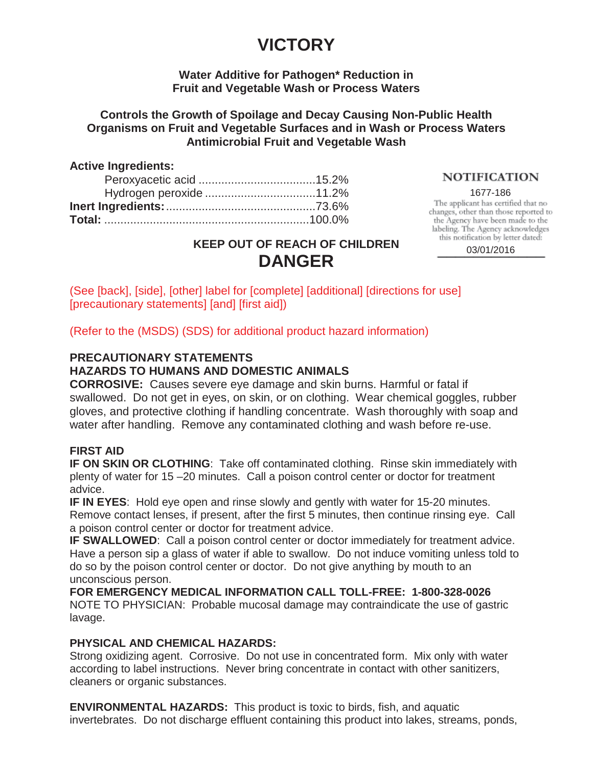## **VICTORY**

### **Water Additive for Pathogen\* Reduction in Fruit and Vegetable Wash or Process Waters**

### **Controls the Growth of Spoilage and Decay Causing Non-Public Health Organisms on Fruit and Vegetable Surfaces and in Wash or Process Waters Antimicrobial Fruit and Vegetable Wash**

### **Active Ingredients:**

### **NOTIFICATION**

1677-186<br>The applicant has certified that no changes, other than those reported to the Agency have been made to the labeling. The Agency acknowledges this notification by letter dated:

**KEEP OUT OF REACH OF CHILDREN DANGER**

03/01/2016

(See [back], [side], [other] label for [complete] [additional] [directions for use] [precautionary statements] [and] [first aid])

(Refer to the (MSDS) (SDS) for additional product hazard information)

## **PRECAUTIONARY STATEMENTS**

### **HAZARDS TO HUMANS AND DOMESTIC ANIMALS**

**CORROSIVE:** Causes severe eye damage and skin burns. Harmful or fatal if swallowed. Do not get in eyes, on skin, or on clothing. Wear chemical goggles, rubber gloves, and protective clothing if handling concentrate. Wash thoroughly with soap and water after handling. Remove any contaminated clothing and wash before re-use.

### **FIRST AID**

**IF ON SKIN OR CLOTHING**: Take off contaminated clothing. Rinse skin immediately with plenty of water for 15 –20 minutes. Call a poison control center or doctor for treatment advice.

**IF IN EYES**: Hold eye open and rinse slowly and gently with water for 15-20 minutes. Remove contact lenses, if present, after the first 5 minutes, then continue rinsing eye. Call a poison control center or doctor for treatment advice.

**IF SWALLOWED:** Call a poison control center or doctor immediately for treatment advice. Have a person sip a glass of water if able to swallow. Do not induce vomiting unless told to do so by the poison control center or doctor. Do not give anything by mouth to an unconscious person.

**FOR EMERGENCY MEDICAL INFORMATION CALL TOLL-FREE: 1-800-328-0026** NOTE TO PHYSICIAN: Probable mucosal damage may contraindicate the use of gastric lavage.

### **PHYSICAL AND CHEMICAL HAZARDS:**

Strong oxidizing agent. Corrosive. Do not use in concentrated form. Mix only with water according to label instructions. Never bring concentrate in contact with other sanitizers, cleaners or organic substances.

**ENVIRONMENTAL HAZARDS:** This product is toxic to birds, fish, and aquatic invertebrates. Do not discharge effluent containing this product into lakes, streams, ponds,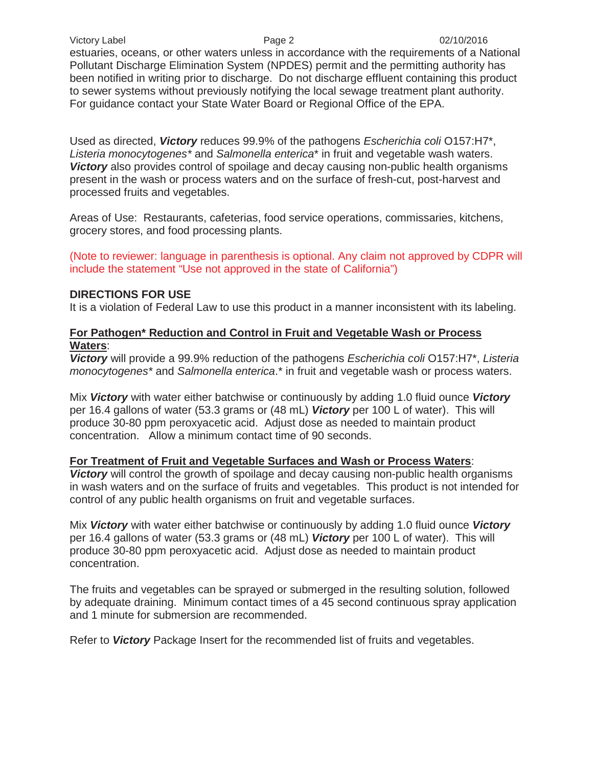estuaries, oceans, or other waters unless in accordance with the requirements of a National Pollutant Discharge Elimination System (NPDES) permit and the permitting authority has been notified in writing prior to discharge. Do not discharge effluent containing this product to sewer systems without previously notifying the local sewage treatment plant authority. For guidance contact your State Water Board or Regional Office of the EPA.

Used as directed, *Victory* reduces 99.9% of the pathogens *Escherichia coli* O157:H7\*, *Listeria monocytogenes\** and *Salmonella enterica*\* in fruit and vegetable wash waters. *Victory* also provides control of spoilage and decay causing non-public health organisms present in the wash or process waters and on the surface of fresh-cut, post-harvest and processed fruits and vegetables.

Areas of Use: Restaurants, cafeterias, food service operations, commissaries, kitchens, grocery stores, and food processing plants.

(Note to reviewer: language in parenthesis is optional. Any claim not approved by CDPR will include the statement "Use not approved in the state of California")

### **DIRECTIONS FOR USE**

It is a violation of Federal Law to use this product in a manner inconsistent with its labeling.

### **For Pathogen\* Reduction and Control in Fruit and Vegetable Wash or Process Waters**:

*Victory* will provide a 99.9% reduction of the pathogens *Escherichia coli* O157:H7\*, *Listeria monocytogenes\** and *Salmonella enterica*.\* in fruit and vegetable wash or process waters.

Mix *Victory* with water either batchwise or continuously by adding 1.0 fluid ounce *Victory* per 16.4 gallons of water (53.3 grams or (48 mL) *Victory* per 100 L of water). This will produce 30-80 ppm peroxyacetic acid. Adjust dose as needed to maintain product concentration. Allow a minimum contact time of 90 seconds.

### **For Treatment of Fruit and Vegetable Surfaces and Wash or Process Waters**:

*Victory* will control the growth of spoilage and decay causing non-public health organisms in wash waters and on the surface of fruits and vegetables. This product is not intended for control of any public health organisms on fruit and vegetable surfaces.

Mix *Victory* with water either batchwise or continuously by adding 1.0 fluid ounce *Victory* per 16.4 gallons of water (53.3 grams or (48 mL) *Victory* per 100 L of water). This will produce 30-80 ppm peroxyacetic acid. Adjust dose as needed to maintain product concentration.

The fruits and vegetables can be sprayed or submerged in the resulting solution, followed by adequate draining. Minimum contact times of a 45 second continuous spray application and 1 minute for submersion are recommended.

Refer to *Victory* Package Insert for the recommended list of fruits and vegetables.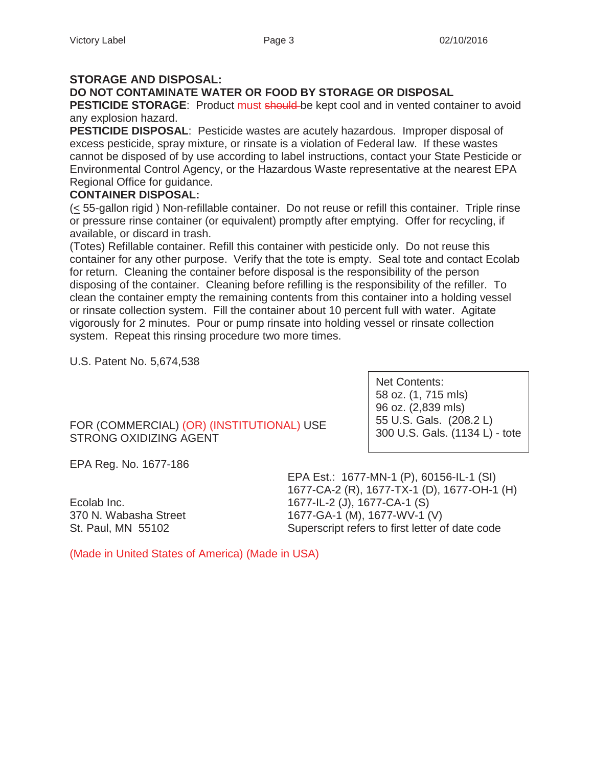### **STORAGE AND DISPOSAL:**

**DO NOT CONTAMINATE WATER OR FOOD BY STORAGE OR DISPOSAL**

**PESTICIDE STORAGE:** Product must should be kept cool and in vented container to avoid any explosion hazard.

**PESTICIDE DISPOSAL**: Pesticide wastes are acutely hazardous. Improper disposal of excess pesticide, spray mixture, or rinsate is a violation of Federal law. If these wastes cannot be disposed of by use according to label instructions, contact your State Pesticide or Environmental Control Agency, or the Hazardous Waste representative at the nearest EPA Regional Office for guidance.

### **CONTAINER DISPOSAL:**

(< 55-gallon rigid ) Non-refillable container. Do not reuse or refill this container. Triple rinse or pressure rinse container (or equivalent) promptly after emptying. Offer for recycling, if available, or discard in trash.

(Totes) Refillable container. Refill this container with pesticide only. Do not reuse this container for any other purpose. Verify that the tote is empty. Seal tote and contact Ecolab for return. Cleaning the container before disposal is the responsibility of the person disposing of the container. Cleaning before refilling is the responsibility of the refiller. To clean the container empty the remaining contents from this container into a holding vessel or rinsate collection system. Fill the container about 10 percent full with water. Agitate vigorously for 2 minutes. Pour or pump rinsate into holding vessel or rinsate collection system. Repeat this rinsing procedure two more times.

U.S. Patent No. 5,674,538

FOR (COMMERCIAL) (OR) (INSTITUTIONAL) USE STRONG OXIDIZING AGENT

Net Contents: 58 oz. (1, 715 mls) 96 oz. (2,839 mls) 55 U.S. Gals. (208.2 L) 300 U.S. Gals. (1134 L) - tote

EPA Reg. No. 1677-186

EPA Est.: 1677-MN-1 (P), 60156-IL-1 (SI) 1677-CA-2 (R), 1677-TX-1 (D), 1677-OH-1 (H) Ecolab Inc. 1677-IL-2 (J), 1677-CA-1 (S) 370 N. Wabasha Street 1677-GA-1 (M), 1677-WV-1 (V) St. Paul, MN 55102 Superscript refers to first letter of date code

(Made in United States of America) (Made in USA)